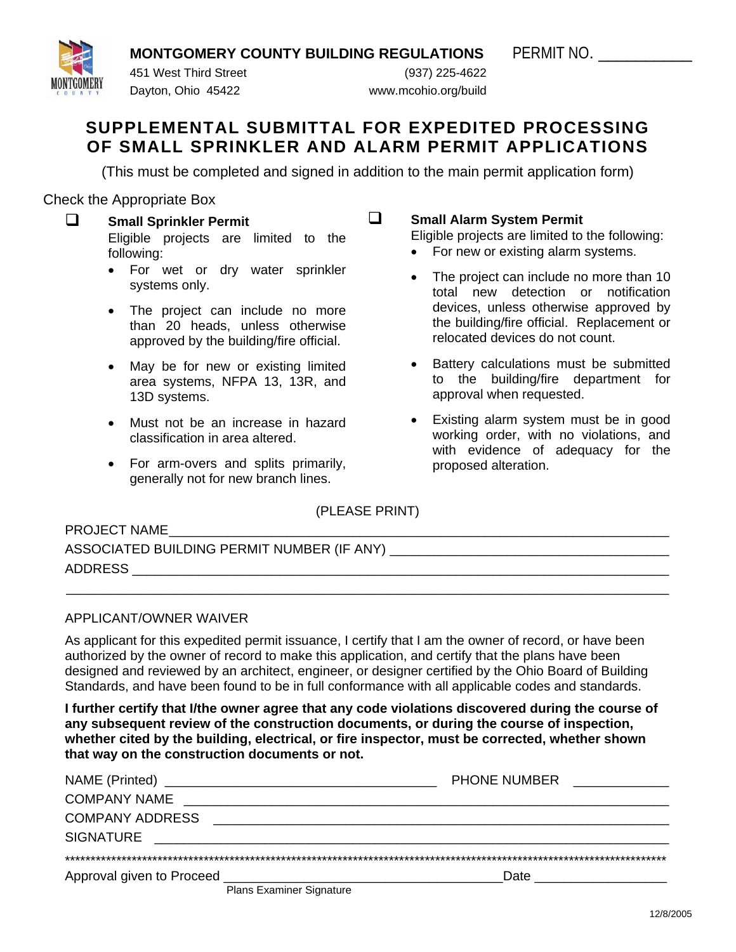**MONTGOMERY COUNTY BUILDING REGULATIONS PERMIT NO.** 



 451 West Third Street (937) 225-4622 Dayton, Ohio 45422 www.mcohio.org/build

# **SUPPLEMENTAL SUBMITTAL FOR EXPEDITED PROCESSING OF SMALL SPRINKLER AND ALARM PERMIT APPLICATIONS**

(This must be completed and signed in addition to the main permit application form)

Check the Appropriate Box

- **Small Sprinkler Permit**  Eligible projects are limited to the following:
	- For wet or dry water sprinkler systems only.
	- The project can include no more than 20 heads, unless otherwise approved by the building/fire official.
	- May be for new or existing limited area systems, NFPA 13, 13R, and 13D systems.
	- Must not be an increase in hazard classification in area altered.
	- For arm-overs and splits primarily, generally not for new branch lines.

 **Small Alarm System Permit** 

Eligible projects are limited to the following:

- For new or existing alarm systems.
- The project can include no more than 10 total new detection or notification devices, unless otherwise approved by the building/fire official. Replacement or relocated devices do not count.
- Battery calculations must be submitted to the building/fire department for approval when requested.
- Existing alarm system must be in good working order, with no violations, and with evidence of adequacy for the proposed alteration.

(PLEASE PRINT)

\_\_\_\_\_\_\_\_\_\_\_\_\_\_\_\_\_\_\_\_\_\_\_\_\_\_\_\_\_\_\_\_\_\_\_\_\_\_\_\_\_\_\_\_\_\_\_\_\_\_\_\_\_\_\_\_\_\_\_\_\_\_\_\_\_\_\_\_\_\_\_\_\_\_\_\_\_\_\_\_\_\_

PROJECT NAME

| ASSOCIATED BUILDING PERMIT NUMBER (IF ANY) |  |
|--------------------------------------------|--|
| <b>ADDRESS</b>                             |  |

## APPLICANT/OWNER WAIVER

As applicant for this expedited permit issuance, I certify that I am the owner of record, or have been authorized by the owner of record to make this application, and certify that the plans have been designed and reviewed by an architect, engineer, or designer certified by the Ohio Board of Building Standards, and have been found to be in full conformance with all applicable codes and standards.

**I further certify that I/the owner agree that any code violations discovered during the course of any subsequent review of the construction documents, or during the course of inspection, whether cited by the building, electrical, or fire inspector, must be corrected, whether shown that way on the construction documents or not.** 

|                           |                          | <b>PHONE NUMBER</b><br>the control of the control of the control of |  |  |
|---------------------------|--------------------------|---------------------------------------------------------------------|--|--|
| <b>COMPANY NAME</b>       |                          |                                                                     |  |  |
| <b>COMPANY ADDRESS</b>    |                          |                                                                     |  |  |
| <b>SIGNATURE</b>          |                          |                                                                     |  |  |
|                           |                          |                                                                     |  |  |
| Approval given to Proceed |                          |                                                                     |  |  |
|                           | Plans Examiner Signature |                                                                     |  |  |